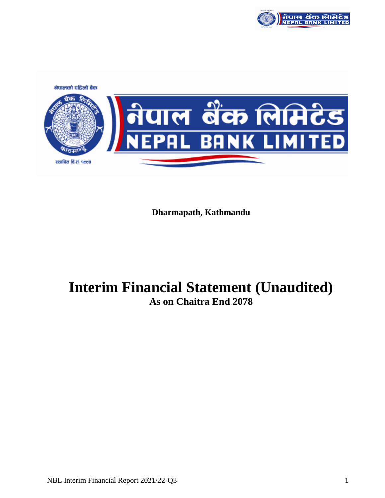

नेपालको पहिलो बैक <u>गल बैंक लिमिटेड</u><br>PAL BANK LIMITED</u> रथापित वि.सं. १९९८

**Dharmapath, Kathmandu**

# **Interim Financial Statement (Unaudited) As on Chaitra End 2078**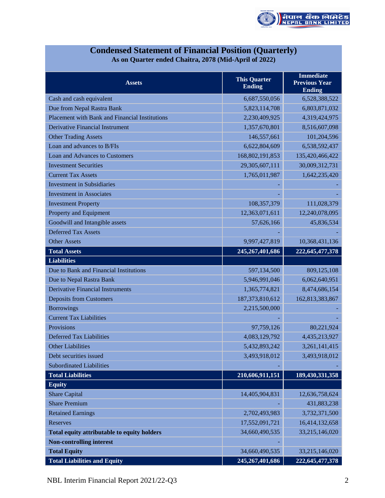

| <b>Condensed Statement of Financial Position (Quarterly)</b> |
|--------------------------------------------------------------|
| As on Quarter ended Chaitra, 2078 (Mid-April of 2022)        |

| <b>Assets</b>                                  | <b>This Quarter</b><br><b>Ending</b> | <b>Immediate</b><br><b>Previous Year</b><br><b>Ending</b> |
|------------------------------------------------|--------------------------------------|-----------------------------------------------------------|
| Cash and cash equivalent                       | 6,687,550,056                        | 6,528,388,522                                             |
| Due from Nepal Rastra Bank                     | 5,823,114,708                        | 6,803,871,032                                             |
| Placement with Bank and Financial Institutions | 2,230,409,925                        | 4,319,424,975                                             |
| Derivative Financial Instrument                | 1,357,670,801                        | 8,516,607,098                                             |
| <b>Other Trading Assets</b>                    | 146,557,661                          | 101,204,596                                               |
| Loan and advances to B/FIs                     | 6,622,804,609                        | 6,538,592,437                                             |
| Loan and Advances to Customers                 | 168, 802, 191, 853                   | 135,420,466,422                                           |
| <b>Investment Securities</b>                   | 29,305,607,111                       | 30,009,312,731                                            |
| <b>Current Tax Assets</b>                      | 1,765,011,987                        | 1,642,235,420                                             |
| <b>Investment in Subsidiaries</b>              |                                      |                                                           |
| <b>Investment in Associates</b>                |                                      |                                                           |
| <b>Investment Property</b>                     | 108,357,379                          | 111,028,379                                               |
| Property and Equipment                         | 12,363,071,611                       | 12,240,078,095                                            |
| Goodwill and Intangible assets                 | 57,626,166                           | 45,836,534                                                |
| <b>Deferred Tax Assets</b>                     |                                      |                                                           |
| <b>Other Assets</b>                            | 9,997,427,819                        | 10,368,431,136                                            |
| <b>Total Assets</b>                            | 245, 267, 401, 686                   | 222, 645, 477, 378                                        |
| <b>Liabilities</b>                             |                                      |                                                           |
| Due to Bank and Financial Institutions         | 597,134,500                          | 809,125,108                                               |
| Due to Nepal Rastra Bank                       | 5,946,991,046                        | 6,062,640,951                                             |
| <b>Derivative Financial Instruments</b>        | 1,365,774,821                        | 8,474,686,154                                             |
| <b>Deposits from Customers</b>                 | 187, 373, 810, 612                   | 162,813,383,867                                           |
| <b>Borrowings</b>                              | 2,215,500,000                        |                                                           |
| <b>Current Tax Liabilities</b>                 |                                      |                                                           |
| Provisions                                     | 97,759,126                           | 80,221,924                                                |
| <b>Deferred Tax Liabilities</b>                | 4,083,129,792                        | 4,435,213,927                                             |
| <b>Other Liabilities</b>                       | 5,432,893,242                        | 3,261,141,415                                             |
| Debt securities issued                         | 3,493,918,012                        | 3,493,918,012                                             |
| <b>Subordinated Liabilities</b>                |                                      |                                                           |
| <b>Total Liabilities</b>                       | 210,606,911,151                      | 189,430,331,358                                           |
| <b>Equity</b>                                  |                                      |                                                           |
| <b>Share Capital</b>                           | 14,405,904,831                       | 12,636,758,624                                            |
| <b>Share Premium</b>                           |                                      | 431,883,238                                               |
| <b>Retained Earnings</b>                       | 2,702,493,983                        | 3,732,371,500                                             |
| Reserves                                       | 17,552,091,721                       | 16,414,132,658                                            |
| Total equity attributable to equity holders    | 34,660,490,535                       | 33,215,146,020                                            |
| <b>Non-controlling interest</b>                |                                      |                                                           |
| <b>Total Equity</b>                            | 34,660,490,535                       | 33,215,146,020                                            |
| <b>Total Liabilities and Equity</b>            | 245,267,401,686                      | 222, 645, 477, 378                                        |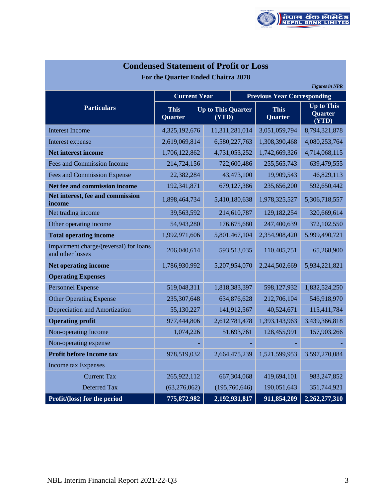

| <b>Condensed Statement of Profit or Loss</b>               |                                                              |  |                        |                                              |                       |  |  |
|------------------------------------------------------------|--------------------------------------------------------------|--|------------------------|----------------------------------------------|-----------------------|--|--|
| For the Quarter Ended Chaitra 2078                         |                                                              |  |                        |                                              |                       |  |  |
|                                                            |                                                              |  |                        |                                              | <b>Figures in NPR</b> |  |  |
|                                                            | <b>Current Year</b>                                          |  |                        | <b>Previous Year Corresponding</b>           |                       |  |  |
| <b>Particulars</b>                                         | <b>Up to This Quarter</b><br><b>This</b><br>(YTD)<br>Quarter |  | <b>This</b><br>Quarter | <b>Up to This</b><br><b>Quarter</b><br>(YTD) |                       |  |  |
| <b>Interest Income</b>                                     | 4,325,192,676                                                |  | 11,311,281,014         | 3,051,059,794                                | 8,794,321,878         |  |  |
| Interest expense                                           | 2,619,069,814                                                |  | 6,580,227,763          | 1,308,390,468                                | 4,080,253,764         |  |  |
| <b>Net interest income</b>                                 | 1,706,122,862                                                |  | 4,731,053,252          | 1,742,669,326                                | 4,714,068,115         |  |  |
| Fees and Commission Income                                 | 214,724,156                                                  |  | 722,600,486            | 255, 565, 743                                | 639,479,555           |  |  |
| Fees and Commission Expense                                | 22,382,284                                                   |  | 43,473,100             | 19,909,543                                   | 46,829,113            |  |  |
| Net fee and commission income                              | 192,341,871                                                  |  | 679,127,386            | 235,656,200                                  | 592,650,442           |  |  |
| Net interest, fee and commission<br>income                 | 1,898,464,734                                                |  | 5,410,180,638          | 1,978,325,527                                | 5,306,718,557         |  |  |
| Net trading income                                         | 39,563,592                                                   |  | 214,610,787            | 129, 182, 254                                | 320,669,614           |  |  |
| Other operating income                                     | 54,943,280                                                   |  | 176,675,680            | 247,400,639                                  | 372,102,550           |  |  |
| <b>Total operating income</b>                              | 1,992,971,606                                                |  | 5,801,467,104          | 2,354,908,420                                | 5,999,490,721         |  |  |
| Impairment charge/(reversal) for loans<br>and other losses | 206,040,614                                                  |  | 593,513,035            | 110,405,751                                  | 65,268,900            |  |  |
| <b>Net operating income</b>                                | 1,786,930,992                                                |  | 5,207,954,070          | 2,244,502,669                                | 5,934,221,821         |  |  |
| <b>Operating Expenses</b>                                  |                                                              |  |                        |                                              |                       |  |  |
| <b>Personnel Expense</b>                                   | 519,048,311                                                  |  | 1,818,383,397          | 598,127,932                                  | 1,832,524,250         |  |  |
| <b>Other Operating Expense</b>                             | 235,307,648                                                  |  | 634,876,628            | 212,706,104                                  | 546,918,970           |  |  |
| <b>Depreciation and Amortization</b>                       | 55,130,227                                                   |  | 141,912,567            | 40,524,671                                   | 115,411,784           |  |  |
| <b>Operating profit</b>                                    | 977,444,806                                                  |  | 2,612,781,478          | 1,393,143,963                                | 3,439,366,818         |  |  |
| Non-operating Income                                       | 1,074,226                                                    |  | 51,693,761             | 128,455,991                                  | 157,903,266           |  |  |
| Non-operating expense                                      |                                                              |  |                        |                                              |                       |  |  |
| <b>Profit before Income tax</b>                            | 978,519,032                                                  |  | 2,664,475,239          | 1,521,599,953                                | 3,597,270,084         |  |  |
| <b>Income tax Expenses</b>                                 |                                                              |  |                        |                                              |                       |  |  |
| <b>Current Tax</b>                                         | 265,922,112                                                  |  | 667,304,068            | 419,694,101                                  | 983, 247, 852         |  |  |
| Deferred Tax                                               | (63, 276, 062)                                               |  | (195,760,646)          | 190,051,643                                  | 351,744,921           |  |  |
| Profit/(loss) for the period                               | 775,872,982                                                  |  | 2,192,931,817          | 911,854,209                                  | 2,262,277,310         |  |  |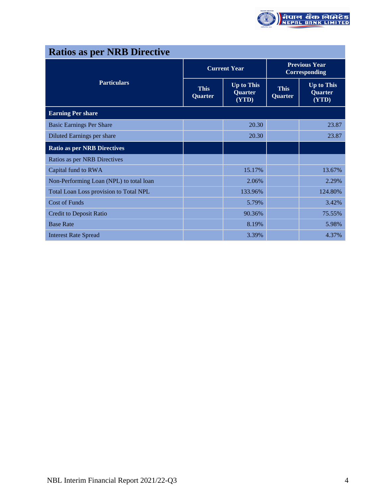

| <b>Ratios as per NRB Directive</b>      |                               |                                              |                                       |                                       |  |  |
|-----------------------------------------|-------------------------------|----------------------------------------------|---------------------------------------|---------------------------------------|--|--|
|                                         |                               | <b>Current Year</b>                          | <b>Previous Year</b><br>Corresponding |                                       |  |  |
| <b>Particulars</b>                      | <b>This</b><br><b>Quarter</b> | <b>Up to This</b><br><b>Quarter</b><br>(YTD) | <b>This</b><br><b>Quarter</b>         | <b>Up to This</b><br>Quarter<br>(YTD) |  |  |
| <b>Earning Per share</b>                |                               |                                              |                                       |                                       |  |  |
| <b>Basic Earnings Per Share</b>         |                               | 20.30                                        |                                       | 23.87                                 |  |  |
| Diluted Earnings per share              |                               | 20.30                                        |                                       | 23.87                                 |  |  |
| <b>Ratio as per NRB Directives</b>      |                               |                                              |                                       |                                       |  |  |
| Ratios as per NRB Directives            |                               |                                              |                                       |                                       |  |  |
| Capital fund to RWA                     |                               | 15.17%                                       |                                       | 13.67%                                |  |  |
| Non-Performing Loan (NPL) to total loan |                               | 2.06%                                        |                                       | 2.29%                                 |  |  |
| Total Loan Loss provision to Total NPL  |                               | 133.96%                                      |                                       | 124.80%                               |  |  |
| <b>Cost of Funds</b>                    |                               | 5.79%                                        |                                       | 3.42%                                 |  |  |
| <b>Credit to Deposit Ratio</b>          |                               | 90.36%                                       |                                       | 75.55%                                |  |  |
| <b>Base Rate</b>                        |                               | 8.19%                                        |                                       | 5.98%                                 |  |  |
| <b>Interest Rate Spread</b>             |                               | 3.39%                                        |                                       | 4.37%                                 |  |  |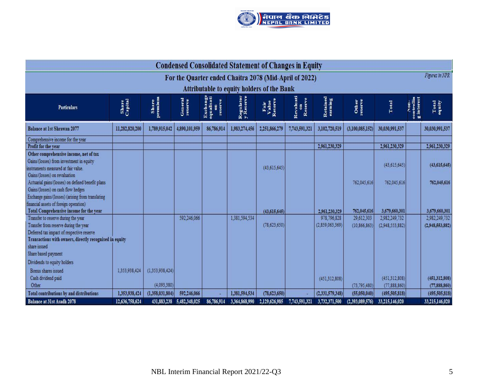

|                                                                                                      | <b>Condensed Consolidated Statement of Changes in Equity</b> |                  |                           |                                         |                        |                                                   |                            |                     |                  |                 |                           |                   |
|------------------------------------------------------------------------------------------------------|--------------------------------------------------------------|------------------|---------------------------|-----------------------------------------|------------------------|---------------------------------------------------|----------------------------|---------------------|------------------|-----------------|---------------------------|-------------------|
| For the Quarter ended Chaitra 2078 (Mid-April of 2022)                                               |                                                              |                  |                           |                                         |                        |                                                   |                            | Figures in NPR      |                  |                 |                           |                   |
|                                                                                                      |                                                              |                  |                           |                                         |                        | <b>Attributable to equity holders of the Bank</b> |                            |                     |                  |                 |                           |                   |
| <b>Particulars</b>                                                                                   | Share<br>Capital                                             | Share<br>premium | General<br>reserve        | Exchange<br>equalisati<br>on<br>reserve | Regulator<br>y Reserve | Fair<br>Value<br>Reserve                          | Revaluati<br>on<br>Reserve | Retained<br>earning | Other<br>reserve | Total           | $\sum_{i=1}^{n}$<br>inter | Total<br>equity   |
| <b>Balance at 1st Shrawan 2077</b>                                                                   | 11,282,820,200                                               | 1,789,915,042    | 4,890,101,959             | 86,786,914                              | 1,983,274,456          | 2,251,866,279                                     | 7,743,591,321              | 3,102,720,519       | (3,100,085,152)  | 30,030,991,537  |                           | 30,030,991,537    |
| Comprehensive income for the year<br>Profit for the year                                             |                                                              |                  |                           |                                         |                        |                                                   |                            | 2,961,230,329       |                  | 2,961,230,329   |                           | 2,961,230,329     |
| Other comprehensive income, net of tax                                                               |                                                              |                  |                           |                                         |                        |                                                   |                            |                     |                  |                 |                           |                   |
| Gains/(losses) from investment in equity                                                             |                                                              |                  |                           |                                         |                        |                                                   |                            |                     |                  | (43, 615, 645)  |                           | (43, 615, 645)    |
| instruments measured at fair value.<br>Gains/(losses) on revaluation                                 |                                                              |                  |                           |                                         |                        | (43, 615, 645)                                    |                            |                     |                  |                 |                           |                   |
| Actuarial gains/(losses) on defined benefit plans                                                    |                                                              |                  |                           |                                         |                        |                                                   |                            |                     | 762,045,616      | 762,045,616     |                           | 762,045,616       |
| Gains/(losses) on cash flow hedges                                                                   |                                                              |                  |                           |                                         |                        |                                                   |                            |                     |                  |                 |                           |                   |
| Exchange gains/(losses) (arising from translating<br>financial assets of foreign operation)          |                                                              |                  |                           |                                         |                        |                                                   |                            |                     |                  |                 |                           |                   |
| <b>Total Comprehensive income for the year</b>                                                       |                                                              |                  |                           |                                         |                        | (43, 615, 645)                                    |                            | 2,961,230,329       | 762,045,616      | 3,679,660,301   |                           | 3,679,660,301     |
| Transfer to reserve during the year                                                                  |                                                              |                  | 592,246,066               |                                         | 1,381,594,534          |                                                   |                            | 978,796.828         | 29,612,303       | 2,982,249,732   |                           | 2,982,249,732     |
| Transfer from reserve during the year                                                                |                                                              |                  |                           |                                         |                        | (78, 623, 650)                                    |                            | (2,859,063,369)     | (10, 866, 863)   | (2,948,553,882) |                           | (2.948, 553, 882) |
| Deferred tax impact of respective reserve<br>Transactions with owners, directly recognised in equity |                                                              |                  |                           |                                         |                        |                                                   |                            |                     |                  |                 |                           |                   |
| share issued                                                                                         |                                                              |                  |                           |                                         |                        |                                                   |                            |                     |                  |                 |                           |                   |
| Share based payment                                                                                  |                                                              |                  |                           |                                         |                        |                                                   |                            |                     |                  |                 |                           |                   |
| Dividends to equity holders                                                                          |                                                              |                  |                           |                                         |                        |                                                   |                            |                     |                  |                 |                           |                   |
| Bonus shares issued                                                                                  | 1.353,938,424                                                | (1.353.938.424)  |                           |                                         |                        |                                                   |                            |                     |                  |                 |                           |                   |
| Cash dividend paid                                                                                   |                                                              |                  |                           |                                         |                        |                                                   |                            | (451, 312, 808)     |                  | (451.312.808)   |                           | (451, 312, 808)   |
| Other                                                                                                |                                                              | (4,093,380)      |                           |                                         |                        |                                                   |                            |                     | (73, 795, 480)   | (77,888,860)    |                           | (77,888,860)      |
| <b>Total contributions by and distributions</b>                                                      | 1,353,938,424                                                | (1,358,031,804)  | 592,246,066               |                                         | 1,381,594,534          | (78, 623, 650)                                    |                            | (2,331,579,348)     | (55,050,040)     | (495, 505, 818) |                           | (495, 505, 818)   |
| Balance at 31st Asadh 2078                                                                           | 12,636,758,624                                               |                  | 431,883,238 5,482,348,025 | 86,786,914                              | 3,364,868,990          | 2,129,626,985                                     | 7,743,591,321              | 3,732,371,500       | (2,393,089,576)  | 33,215,146,020  |                           | 33,215,146,020    |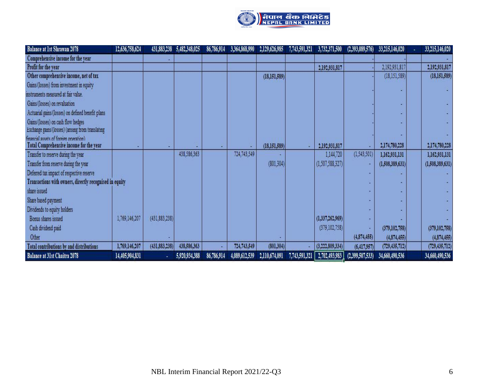

| <b>Balance at 1st Shrawan 2078</b>                                                       | 12,636,758,624 |                 | 431,883,238 5,482,348,025 | 86,786,914 | 3,364,868,990 | 2,129,626,985  | 7,743,591,321 | 3,732,371,500                 | (2,393,089,576) | 33,215,146,020  | 33,215,146,020  |
|------------------------------------------------------------------------------------------|----------------|-----------------|---------------------------|------------|---------------|----------------|---------------|-------------------------------|-----------------|-----------------|-----------------|
| Comprehensive income for the year                                                        |                |                 |                           |            |               |                |               |                               |                 |                 |                 |
| Profit for the year                                                                      |                |                 |                           |            |               |                |               | 2,192,931,817                 |                 | 2,192,931,817   | 2,192,931,817   |
| Other comprehensive income, net of tax                                                   |                |                 |                           |            |               | (18,151,589)   |               |                               |                 | (18, 151, 589)  | (18, 151, 589)  |
| Gains/(losses) from investment in equity                                                 |                |                 |                           |            |               |                |               |                               |                 |                 |                 |
| instruments measured at fair value.                                                      |                |                 |                           |            |               |                |               |                               |                 |                 |                 |
| Gains/(losses) on revaluation                                                            |                |                 |                           |            |               |                |               |                               |                 |                 |                 |
| Actuarial gains/(losses) on defined benefit plans                                        |                |                 |                           |            |               |                |               |                               |                 |                 |                 |
| Gains/(losses) on cash flow hedges<br>Exchange gains/(losses) (arising from translating  |                |                 |                           |            |               |                |               |                               |                 |                 |                 |
| financial assets of foreign operation)<br><b>Total Comprehensive income for the year</b> |                |                 |                           |            |               | (18, 151, 589) |               | 2,192,931,817                 |                 | 2,174,780,228   | 2,174,780,228   |
| Transfer to reserve during the year                                                      |                |                 | 438,586,363               |            | 724,743,549   |                |               | 1,144,720                     | (1,543,501)     | 1,162,931,131   | 1,162,931,131   |
| Transfer from reserve during the year                                                    |                |                 |                           |            |               | (801, 304)     |               | (1,507,588,327)               |                 | (1,508,389,631) | (1,508,389,631) |
| Deferred tax impact of respective reserve                                                |                |                 |                           |            |               |                |               |                               |                 |                 |                 |
| Transactions with owners, directly recognised in equity                                  |                |                 |                           |            |               |                |               |                               |                 |                 |                 |
| share issued                                                                             |                |                 |                           |            |               |                |               |                               |                 |                 |                 |
| Share based payment                                                                      |                |                 |                           |            |               |                |               |                               |                 |                 |                 |
| Dividends to equity holders                                                              |                |                 |                           |            |               |                |               |                               |                 |                 |                 |
| Bonus shares issued                                                                      | 1,769,146,207  | (431.883.238)   |                           |            |               |                |               | (1,337,262,969)               |                 |                 |                 |
| Cash dividend paid                                                                       |                |                 |                           |            |               |                |               | (379, 102, 758)               |                 | (379, 102, 758) | (379, 102, 758) |
| Other                                                                                    |                |                 |                           |            |               |                |               |                               | (4,874,455)     | (4,874,455)     | (4,874,455)     |
| <b>Total contributions by and distributions</b>                                          | 1,769,146,207  | (431, 883, 238) | 438,586,363               |            | 724,743,549   | (801, 304)     |               | (3,222,809,334)               | (6,417,957)     | (729, 435, 712) | (729, 435, 712) |
| <b>Balance at 31st Chaitra 2078</b>                                                      | 14,405,904,831 |                 | 5,920,934,388             | 86,786,914 | 4,089,612,539 | 2,110,674,091  |               | 7,743,591,321   2,702,493,983 | (2,399,507,533) | 34,660,490,536  | 34,660,490,536  |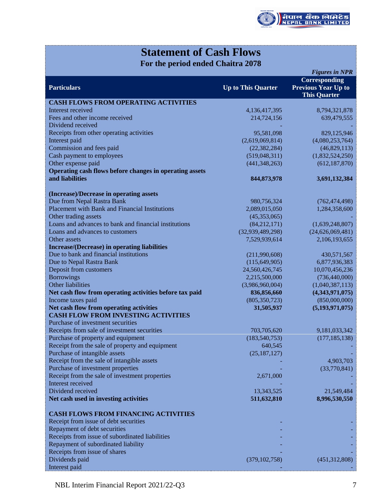

# **Statement of Cash Flows**

**For the period ended Chaitra 2078**

|                                                                                       |                           | <b>Figures in NPR</b>                                              |
|---------------------------------------------------------------------------------------|---------------------------|--------------------------------------------------------------------|
| <b>Particulars</b>                                                                    | <b>Up to This Quarter</b> | Corresponding<br><b>Previous Year Up to</b><br><b>This Quarter</b> |
| <b>CASH FLOWS FROM OPERATING ACTIVITIES</b>                                           |                           |                                                                    |
| Interest received                                                                     | 4,136,417,395             | 8,794,321,878                                                      |
| Fees and other income received                                                        | 214,724,156               | 639,479,555                                                        |
| Dividend received                                                                     |                           |                                                                    |
| Receipts from other operating activities                                              | 95,581,098                | 829,125,946                                                        |
| Interest paid                                                                         | (2,619,069,814)           | (4,080,253,764)                                                    |
| Commission and fees paid                                                              | (22, 382, 284)            | (46,829,113)                                                       |
| Cash payment to employees                                                             | (519,048,311)             | (1,832,524,250)                                                    |
| Other expense paid                                                                    | (441, 348, 263)           | (612, 187, 870)                                                    |
| Operating cash flows before changes in operating assets                               |                           |                                                                    |
| and liabilities                                                                       | 844, 873, 978             | 3,691,132,384                                                      |
| (Increase)/Decrease in operating assets                                               |                           |                                                                    |
| Due from Nepal Rastra Bank                                                            | 980,756,324               | (762, 474, 498)                                                    |
| <b>Placement with Bank and Financial Institutions</b>                                 | 2,089,015,050             | 1,284,358,600                                                      |
| Other trading assets                                                                  | (45,353,065)              |                                                                    |
| Loans and advances to bank and financial institutions                                 | (84, 212, 171)            | (1,639,248,807)                                                    |
| Loans and advances to customers                                                       | (32,939,489,298)          | (24,626,069,481)                                                   |
| Other assets                                                                          | 7,529,939,614             | 2,106,193,655                                                      |
| <b>Increase/(Decrease)</b> in operating liabilities                                   |                           |                                                                    |
| Due to bank and financial institutions                                                | (211,990,608)             | 430,571,567                                                        |
| Due to Nepal Rastra Bank                                                              | (115, 649, 905)           | 6,877,936,383                                                      |
| Deposit from customers                                                                | 24,560,426,745            | 10,070,456,236                                                     |
| <b>Borrowings</b>                                                                     | 2,215,500,000             | (736, 440, 000)                                                    |
| Other liabilities                                                                     | (3,986,960,004)           | (1,040,387,113)                                                    |
| Net cash flow from operating activities before tax paid                               | 836,856,660               | (4,343,971,075)                                                    |
| Income taxes paid                                                                     | (805, 350, 723)           | (850,000,000)                                                      |
| Net cash flow from operating activities<br><b>CASH FLOW FROM INVESTING ACTIVITIES</b> | 31,505,937                | (5, 193, 971, 075)                                                 |
| Purchase of investment securities                                                     |                           |                                                                    |
| Receipts from sale of investment securities                                           | 703,705,620               | 9,181,033,342                                                      |
| Purchase of property and equipment                                                    | (183, 540, 753)           | (177, 185, 138)                                                    |
| Receipt from the sale of property and equipment                                       | 640,545                   |                                                                    |
| Purchase of intangible assets                                                         | (25, 187, 127)            |                                                                    |
| Receipt from the sale of intangible assets                                            |                           | 4,903,703                                                          |
| Purchase of investment properties                                                     |                           | (33,770,841)                                                       |
| Receipt from the sale of investment properties                                        | 2,671,000                 |                                                                    |
| Interest received                                                                     |                           |                                                                    |
| Dividend received                                                                     | 13,343,525                | 21,549,484                                                         |
| Net cash used in investing activities                                                 | 511,632,810               | 8,996,530,550                                                      |
| <b>CASH FLOWS FROM FINANCING ACTIVITIES</b>                                           |                           |                                                                    |
| Receipt from issue of debt securities                                                 |                           |                                                                    |
| Repayment of debt securities                                                          |                           |                                                                    |
| Receipts from issue of subordinated liabilities                                       |                           |                                                                    |
| Repayment of subordinated liability                                                   |                           |                                                                    |
| Receipts from issue of shares                                                         |                           |                                                                    |
| Dividends paid                                                                        | (379, 102, 758)           | (451, 312, 808)                                                    |
| Interest paid                                                                         |                           |                                                                    |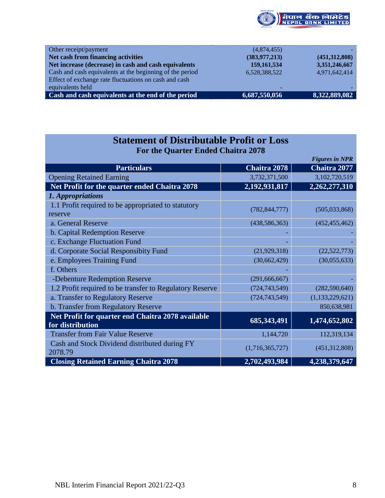

| Other receipt/payment                                    | (4,874,455)              |               |
|----------------------------------------------------------|--------------------------|---------------|
| Net cash from financing activities                       | (383, 977, 213)          | (451,312,808) |
| Net increase (decrease) in cash and cash equivalents     | 159, 161, 534            | 3,351,246,667 |
| Cash and cash equivalents at the beginning of the period | 6,528,388,522            | 4,971,642,414 |
| Effect of exchange rate fluctuations on cash and cash    |                          |               |
| equivalents held                                         | $\overline{\phantom{0}}$ |               |
| Cash and cash equivalents at the end of the period       | 6,687,550,056            | 8,322,889,082 |
|                                                          |                          |               |

| <b>Statement of Distributable Profit or Loss</b>                      |                 |                       |  |  |  |  |
|-----------------------------------------------------------------------|-----------------|-----------------------|--|--|--|--|
| <b>For the Quarter Ended Chaitra 2078</b>                             |                 |                       |  |  |  |  |
|                                                                       |                 | <b>Figures in NPR</b> |  |  |  |  |
| <b>Particulars</b>                                                    | Chaitra 2078    | Chaitra 2077          |  |  |  |  |
| <b>Opening Retained Earning</b>                                       | 3,732,371,500   | 3,102,720,519         |  |  |  |  |
| Net Profit for the quarter ended Chaitra 2078                         | 2,192,931,817   | 2,262,277,310         |  |  |  |  |
| 1. Appropriations                                                     |                 |                       |  |  |  |  |
| 1.1 Profit required to be appropriated to statutory<br>reserve        | (782, 844, 777) | (505, 033, 868)       |  |  |  |  |
| a. General Reserve                                                    | (438, 586, 363) | (452, 455, 462)       |  |  |  |  |
| b. Capital Redemption Reserve                                         |                 |                       |  |  |  |  |
| c. Exchange Fluctuation Fund                                          |                 |                       |  |  |  |  |
| d. Corporate Social Responsibity Fund                                 | (21, 929, 318)  | (22, 522, 773)        |  |  |  |  |
| e. Employees Training Fund                                            | (30,662,429)    | (30,055,633)          |  |  |  |  |
| f. Others                                                             |                 |                       |  |  |  |  |
| -Debenture Redemption Reserve                                         | (291, 666, 667) |                       |  |  |  |  |
| 1.2 Profit required to be transfer to Regulatory Reserve              | (724, 743, 549) | (282, 590, 640)       |  |  |  |  |
| a. Transfer to Regulatory Reserve                                     | (724, 743, 549) | (1, 133, 229, 621)    |  |  |  |  |
| b. Transfer from Regulatory Reserve                                   |                 | 850,638,981           |  |  |  |  |
| Net Profit for quarter end Chaitra 2078 available<br>for distribution | 685, 343, 491   | 1,474,652,802         |  |  |  |  |
| <b>Transfer from Fair Value Reserve</b>                               | 1,144,720       | 112,319,134           |  |  |  |  |
| Cash and Stock Dividend distributed during FY<br>2078.79              | (1,716,365,727) | (451,312,808)         |  |  |  |  |
| <b>Closing Retained Earning Chaitra 2078</b>                          | 2,702,493,984   | 4,238,379,647         |  |  |  |  |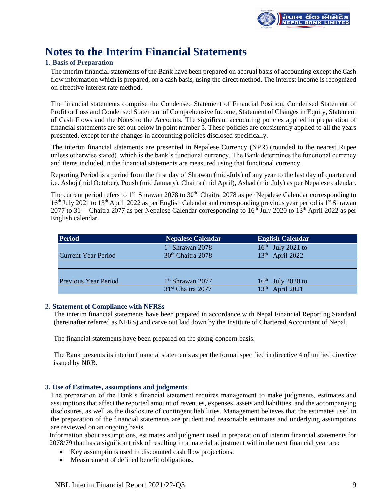

# **Notes to the Interim Financial Statements**

# **1. Basis of Preparation**

The interim financial statements of the Bank have been prepared on accrual basis of accounting except the Cash flow information which is prepared, on a cash basis, using the direct method. The interest income is recognized on effective interest rate method.

The financial statements comprise the Condensed Statement of Financial Position, Condensed Statement of Profit or Loss and Condensed Statement of Comprehensive Income, Statement of Changes in Equity, Statement of Cash Flows and the Notes to the Accounts. The significant accounting policies applied in preparation of financial statements are set out below in point number 5. These policies are consistently applied to all the years presented, except for the changes in accounting policies disclosed specifically.

 The interim financial statements are presented in Nepalese Currency (NPR) (rounded to the nearest Rupee unless otherwise stated), which is the bank's functional currency. The Bank determines the functional currency and items included in the financial statements are measured using that functional currency.

Reporting Period is a period from the first day of Shrawan (mid-July) of any year to the last day of quarter end i.e. Ashoj (mid October), Poush (mid January), Chaitra (mid April), Ashad (mid July) as per Nepalese calendar.

The current period refers to 1<sup>st</sup> Shrawan 2078 to 30<sup>th</sup> Chaitra 2078 as per Nepalese Calendar corresponding to 16<sup>th</sup> July 2021 to 13<sup>th</sup> April 2022 as per English Calendar and corresponding previous year period is 1<sup>st</sup> Shrawan 2077 to 31<sup>st</sup> Chaitra 2077 as per Nepalese Calendar corresponding to 16<sup>th</sup> July 2020 to 13<sup>th</sup> April 2022 as per English calendar.

| <b>Period</b>              | <b>Nepalese Calendar</b>      | <b>English Calendar</b>        |
|----------------------------|-------------------------------|--------------------------------|
|                            | $1st$ Shrawan 2078            | $16th$ July 2021 to            |
| <b>Current Year Period</b> | 30 <sup>th</sup> Chaitra 2078 | $13th$ April 2022              |
|                            |                               |                                |
|                            |                               |                                |
| Previous Year Period       | $1st$ Shrawan 2077            | $16th$ July 2020 to            |
|                            | 31 <sup>st</sup> Chaitra 2077 | April 2021<br>13 <sup>th</sup> |

# **2. Statement of Compliance with NFRSs**

The interim financial statements have been prepared in accordance with Nepal Financial Reporting Standard (hereinafter referred as NFRS) and carve out laid down by the Institute of Chartered Accountant of Nepal.

The financial statements have been prepared on the going-concern basis.

The Bank presents its interim financial statements as per the format specified in directive 4 of unified directive issued by NRB.

# **3. Use of Estimates, assumptions and judgments**

The preparation of the Bank's financial statement requires management to make judgments, estimates and assumptions that affect the reported amount of revenues, expenses, assets and liabilities, and the accompanying disclosures, as well as the disclosure of contingent liabilities. Management believes that the estimates used in the preparation of the financial statements are prudent and reasonable estimates and underlying assumptions are reviewed on an ongoing basis.

Information about assumptions, estimates and judgment used in preparation of interim financial statements for 2078/79 that has a significant risk of resulting in a material adjustment within the next financial year are:

- Key assumptions used in discounted cash flow projections.
- Measurement of defined benefit obligations.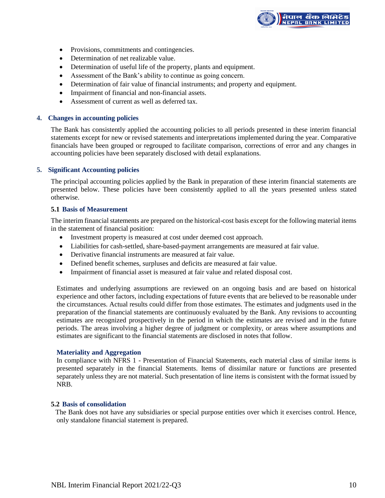

- Provisions, commitments and contingencies.
- Determination of net realizable value.
- Determination of useful life of the property, plants and equipment.
- Assessment of the Bank's ability to continue as going concern.
- Determination of fair value of financial instruments; and property and equipment.
- Impairment of financial and non-financial assets.
- Assessment of current as well as deferred tax.

#### **4. Changes in accounting policies**

The Bank has consistently applied the accounting policies to all periods presented in these interim financial statements except for new or revised statements and interpretations implemented during the year. Comparative financials have been grouped or regrouped to facilitate comparison, corrections of error and any changes in accounting policies have been separately disclosed with detail explanations.

# **5. Significant Accounting policies**

The principal accounting policies applied by the Bank in preparation of these interim financial statements are presented below. These policies have been consistently applied to all the years presented unless stated otherwise.

#### **5.1 Basis of Measurement**

The interim financial statements are prepared on the historical-cost basis except for the following material items in the statement of financial position:

- Investment property is measured at cost under deemed cost approach.
- Liabilities for cash-settled, share-based-payment arrangements are measured at fair value.
- Derivative financial instruments are measured at fair value.
- Defined benefit schemes, surpluses and deficits are measured at fair value.
- Impairment of financial asset is measured at fair value and related disposal cost.

Estimates and underlying assumptions are reviewed on an ongoing basis and are based on historical experience and other factors, including expectations of future events that are believed to be reasonable under the circumstances. Actual results could differ from those estimates. The estimates and judgments used in the preparation of the financial statements are continuously evaluated by the Bank. Any revisions to accounting estimates are recognized prospectively in the period in which the estimates are revised and in the future periods. The areas involving a higher degree of judgment or complexity, or areas where assumptions and estimates are significant to the financial statements are disclosed in notes that follow.

#### **Materiality and Aggregation**

In compliance with NFRS 1 - Presentation of Financial Statements, each material class of similar items is presented separately in the financial Statements. Items of dissimilar nature or functions are presented separately unless they are not material. Such presentation of line items is consistent with the format issued by NRB.

# **5.2 Basis of consolidation**

The Bank does not have any subsidiaries or special purpose entities over which it exercises control. Hence, only standalone financial statement is prepared.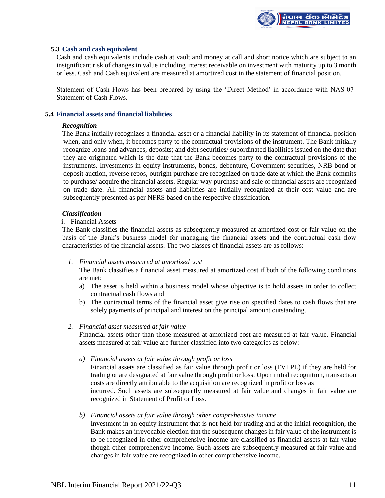

# **5.3 Cash and cash equivalent**

Cash and cash equivalents include cash at vault and money at call and short notice which are subject to an insignificant risk of changes in value including interest receivable on investment with maturity up to 3 month or less. Cash and Cash equivalent are measured at amortized cost in the statement of financial position.

Statement of Cash Flows has been prepared by using the 'Direct Method' in accordance with NAS 07- Statement of Cash Flows.

#### **5.4 Financial assets and financial liabilities**

#### *Recognition*

The Bank initially recognizes a financial asset or a financial liability in its statement of financial position when, and only when, it becomes party to the contractual provisions of the instrument. The Bank initially recognize loans and advances, deposits; and debt securities/ subordinated liabilities issued on the date that they are originated which is the date that the Bank becomes party to the contractual provisions of the instruments. Investments in equity instruments, bonds, debenture, Government securities, NRB bond or deposit auction, reverse repos, outright purchase are recognized on trade date at which the Bank commits to purchase/ acquire the financial assets. Regular way purchase and sale of financial assets are recognized on trade date. All financial assets and liabilities are initially recognized at their cost value and are subsequently presented as per NFRS based on the respective classification.

#### *Classification*

# i. Financial Assets

The Bank classifies the financial assets as subsequently measured at amortized cost or fair value on the basis of the Bank's business model for managing the financial assets and the contractual cash flow characteristics of the financial assets. The two classes of financial assets are as follows:

#### *1. Financial assets measured at amortized cost*

The Bank classifies a financial asset measured at amortized cost if both of the following conditions are met:

- a) The asset is held within a business model whose objective is to hold assets in order to collect contractual cash flows and
- b) The contractual terms of the financial asset give rise on specified dates to cash flows that are solely payments of principal and interest on the principal amount outstanding.

#### *2. Financial asset measured at fair value*

Financial assets other than those measured at amortized cost are measured at fair value. Financial assets measured at fair value are further classified into two categories as below:

*a) Financial assets at fair value through profit or loss*

Financial assets are classified as fair value through profit or loss (FVTPL) if they are held for trading or are designated at fair value through profit or loss. Upon initial recognition, transaction costs are directly attributable to the acquisition are recognized in profit or loss as incurred. Such assets are subsequently measured at fair value and changes in fair value are

recognized in Statement of Profit or Loss.

#### *b) Financial assets at fair value through other comprehensive income*

Investment in an equity instrument that is not held for trading and at the initial recognition, the Bank makes an irrevocable election that the subsequent changes in fair value of the instrument is to be recognized in other comprehensive income are classified as financial assets at fair value though other comprehensive income. Such assets are subsequently measured at fair value and changes in fair value are recognized in other comprehensive income.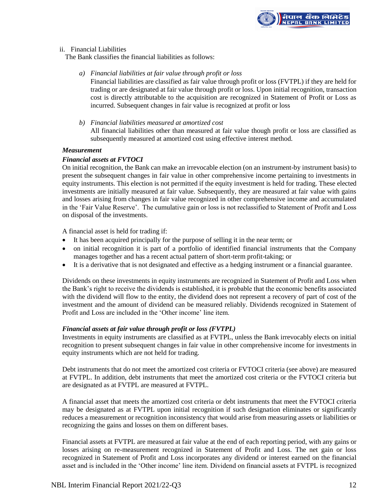

# ii. Financial Liabilities

The Bank classifies the financial liabilities as follows:

*a) Financial liabilities at fair value through profit or loss*

Financial liabilities are classified as fair value through profit or loss (FVTPL) if they are held for trading or are designated at fair value through profit or loss. Upon initial recognition, transaction cost is directly attributable to the acquisition are recognized in Statement of Profit or Loss as incurred. Subsequent changes in fair value is recognized at profit or loss

*b) Financial liabilities measured at amortized cost* All financial liabilities other than measured at fair value though profit or loss are classified as subsequently measured at amortized cost using effective interest method.

#### *Measurement*

# *Financial assets at FVTOCI*

On initial recognition, the Bank can make an irrevocable election (on an instrument-by instrument basis) to present the subsequent changes in fair value in other comprehensive income pertaining to investments in equity instruments. This election is not permitted if the equity investment is held for trading. These elected investments are initially measured at fair value. Subsequently, they are measured at fair value with gains and losses arising from changes in fair value recognized in other comprehensive income and accumulated in the 'Fair Value Reserve'. The cumulative gain or loss is not reclassified to Statement of Profit and Loss on disposal of the investments.

A financial asset is held for trading if:

- It has been acquired principally for the purpose of selling it in the near term; or
- on initial recognition it is part of a portfolio of identified financial instruments that the Company manages together and has a recent actual pattern of short-term profit-taking; or
- It is a derivative that is not designated and effective as a hedging instrument or a financial guarantee.

Dividends on these investments in equity instruments are recognized in Statement of Profit and Loss when the Bank's right to receive the dividends is established, it is probable that the economic benefits associated with the dividend will flow to the entity, the dividend does not represent a recovery of part of cost of the investment and the amount of dividend can be measured reliably. Dividends recognized in Statement of Profit and Loss are included in the 'Other income' line item.

# *Financial assets at fair value through profit or loss (FVTPL)*

Investments in equity instruments are classified as at FVTPL, unless the Bank irrevocably elects on initial recognition to present subsequent changes in fair value in other comprehensive income for investments in equity instruments which are not held for trading.

Debt instruments that do not meet the amortized cost criteria or FVTOCI criteria (see above) are measured at FVTPL. In addition, debt instruments that meet the amortized cost criteria or the FVTOCI criteria but are designated as at FVTPL are measured at FVTPL.

A financial asset that meets the amortized cost criteria or debt instruments that meet the FVTOCI criteria may be designated as at FVTPL upon initial recognition if such designation eliminates or significantly reduces a measurement or recognition inconsistency that would arise from measuring assets or liabilities or recognizing the gains and losses on them on different bases.

Financial assets at FVTPL are measured at fair value at the end of each reporting period, with any gains or losses arising on re-measurement recognized in Statement of Profit and Loss. The net gain or loss recognized in Statement of Profit and Loss incorporates any dividend or interest earned on the financial asset and is included in the 'Other income' line item. Dividend on financial assets at FVTPL is recognized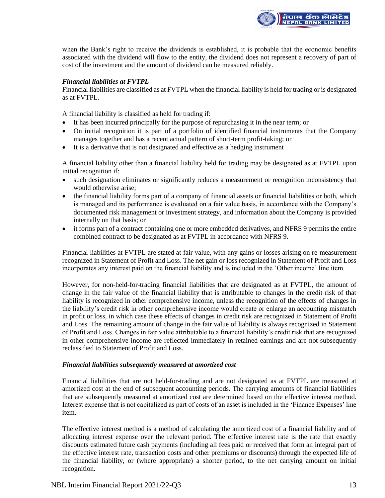

when the Bank's right to receive the dividends is established, it is probable that the economic benefits associated with the dividend will flow to the entity, the dividend does not represent a recovery of part of cost of the investment and the amount of dividend can be measured reliably.

# *Financial liabilities at FVTPL*

Financial liabilities are classified as at FVTPL when the financial liability is held for trading or is designated as at FVTPL.

A financial liability is classified as held for trading if:

- It has been incurred principally for the purpose of repurchasing it in the near term; or
- On initial recognition it is part of a portfolio of identified financial instruments that the Company manages together and has a recent actual pattern of short-term profit-taking; or
- It is a derivative that is not designated and effective as a hedging instrument

A financial liability other than a financial liability held for trading may be designated as at FVTPL upon initial recognition if:

- such designation eliminates or significantly reduces a measurement or recognition inconsistency that would otherwise arise;
- the financial liability forms part of a company of financial assets or financial liabilities or both, which is managed and its performance is evaluated on a fair value basis, in accordance with the Company's documented risk management or investment strategy, and information about the Company is provided internally on that basis; or
- it forms part of a contract containing one or more embedded derivatives, and NFRS 9 permits the entire combined contract to be designated as at FVTPL in accordance with NFRS 9.

Financial liabilities at FVTPL are stated at fair value, with any gains or losses arising on re-measurement recognized in Statement of Profit and Loss. The net gain or loss recognized in Statement of Profit and Loss incorporates any interest paid on the financial liability and is included in the 'Other income' line item.

However, for non-held-for-trading financial liabilities that are designated as at FVTPL, the amount of change in the fair value of the financial liability that is attributable to changes in the credit risk of that liability is recognized in other comprehensive income, unless the recognition of the effects of changes in the liability's credit risk in other comprehensive income would create or enlarge an accounting mismatch in profit or loss, in which case these effects of changes in credit risk are recognized in Statement of Profit and Loss. The remaining amount of change in the fair value of liability is always recognized in Statement of Profit and Loss. Changes in fair value attributable to a financial liability's credit risk that are recognized in other comprehensive income are reflected immediately in retained earnings and are not subsequently reclassified to Statement of Profit and Loss.

#### *Financial liabilities subsequently measured at amortized cost*

Financial liabilities that are not held-for-trading and are not designated as at FVTPL are measured at amortized cost at the end of subsequent accounting periods. The carrying amounts of financial liabilities that are subsequently measured at amortized cost are determined based on the effective interest method. Interest expense that is not capitalized as part of costs of an asset is included in the 'Finance Expenses' line item.

The effective interest method is a method of calculating the amortized cost of a financial liability and of allocating interest expense over the relevant period. The effective interest rate is the rate that exactly discounts estimated future cash payments (including all fees paid or received that form an integral part of the effective interest rate, transaction costs and other premiums or discounts) through the expected life of the financial liability, or (where appropriate) a shorter period, to the net carrying amount on initial recognition.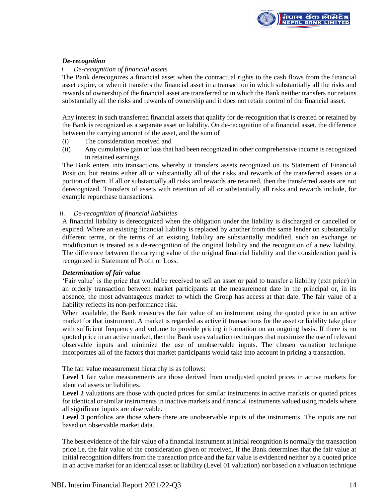

# *De-recognition*

# *i. De-recognition of financial assets*

The Bank derecognizes a financial asset when the contractual rights to the cash flows from the financial asset expire, or when it transfers the financial asset in a transaction in which substantially all the risks and rewards of ownership of the financial asset are transferred or in which the Bank neither transfers nor retains substantially all the risks and rewards of ownership and it does not retain control of the financial asset.

Any interest in such transferred financial assets that qualify for de-recognition that is created or retained by the Bank is recognized as a separate asset or liability. On de-recognition of a financial asset, the difference between the carrying amount of the asset, and the sum of

- (i) The consideration received and
- (ii) Any cumulative gain or loss that had been recognized in other comprehensive income is recognized in retained earnings.

The Bank enters into transactions whereby it transfers assets recognized on its Statement of Financial Position, but retains either all or substantially all of the risks and rewards of the transferred assets or a portion of them. If all or substantially all risks and rewards are retained, then the transferred assets are not derecognized. Transfers of assets with retention of all or substantially all risks and rewards include, for example repurchase transactions.

# *ii. De-recognition of financial liabilities*

A financial liability is derecognized when the obligation under the liability is discharged or cancelled or expired. Where an existing financial liability is replaced by another from the same lender on substantially different terms, or the terms of an existing liability are substantially modified, such an exchange or modification is treated as a de-recognition of the original liability and the recognition of a new liability. The difference between the carrying value of the original financial liability and the consideration paid is recognized in Statement of Profit or Loss.

#### *Determination of fair value*

'Fair value' is the price that would be received to sell an asset or paid to transfer a liability (exit price) in an orderly transaction between market participants at the measurement date in the principal or, in its absence, the most advantageous market to which the Group has access at that date. The fair value of a liability reflects its non-performance risk.

When available, the Bank measures the fair value of an instrument using the quoted price in an active market for that instrument. A market is regarded as active if transactions for the asset or liability take place with sufficient frequency and volume to provide pricing information on an ongoing basis. If there is no quoted price in an active market, then the Bank uses valuation techniques that maximize the use of relevant observable inputs and minimize the use of unobservable inputs. The chosen valuation technique incorporates all of the factors that market participants would take into account in pricing a transaction.

The fair value measurement hierarchy is as follows:

Level 1 fair value measurements are those derived from unadjusted quoted prices in active markets for identical assets or liabilities.

Level 2 valuations are those with quoted prices for similar instruments in active markets or quoted prices for identical or similar instruments in inactive markets and financial instruments valued using models where all significant inputs are observable.

Level 3 portfolios are those where there are unobservable inputs of the instruments. The inputs are not based on observable market data.

The best evidence of the fair value of a financial instrument at initial recognition is normally the transaction price i.e. the fair value of the consideration given or received. If the Bank determines that the fair value at initial recognition differs from the transaction price and the fair value is evidenced neither by a quoted price in an active market for an identical asset or liability (Level 01 valuation) nor based on a valuation technique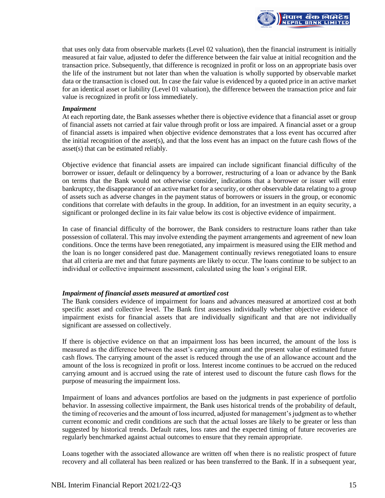

that uses only data from observable markets (Level 02 valuation), then the financial instrument is initially measured at fair value, adjusted to defer the difference between the fair value at initial recognition and the transaction price. Subsequently, that difference is recognized in profit or loss on an appropriate basis over the life of the instrument but not later than when the valuation is wholly supported by observable market data or the transaction is closed out. In case the fair value is evidenced by a quoted price in an active market for an identical asset or liability (Level 01 valuation), the difference between the transaction price and fair value is recognized in profit or loss immediately.

#### *Impairment*

At each reporting date, the Bank assesses whether there is objective evidence that a financial asset or group of financial assets not carried at fair value through profit or loss are impaired. A financial asset or a group of financial assets is impaired when objective evidence demonstrates that a loss event has occurred after the initial recognition of the asset(s), and that the loss event has an impact on the future cash flows of the asset(s) that can be estimated reliably.

Objective evidence that financial assets are impaired can include significant financial difficulty of the borrower or issuer, default or delinquency by a borrower, restructuring of a loan or advance by the Bank on terms that the Bank would not otherwise consider, indications that a borrower or issuer will enter bankruptcy, the disappearance of an active market for a security, or other observable data relating to a group of assets such as adverse changes in the payment status of borrowers or issuers in the group, or economic conditions that correlate with defaults in the group. In addition, for an investment in an equity security, a significant or prolonged decline in its fair value below its cost is objective evidence of impairment.

In case of financial difficulty of the borrower, the Bank considers to restructure loans rather than take possession of collateral. This may involve extending the payment arrangements and agreement of new loan conditions. Once the terms have been renegotiated, any impairment is measured using the EIR method and the loan is no longer considered past due. Management continually reviews renegotiated loans to ensure that all criteria are met and that future payments are likely to occur. The loans continue to be subject to an individual or collective impairment assessment, calculated using the loan's original EIR.

# *Impairment of financial assets measured at amortized cost*

The Bank considers evidence of impairment for loans and advances measured at amortized cost at both specific asset and collective level. The Bank first assesses individually whether objective evidence of impairment exists for financial assets that are individually significant and that are not individually significant are assessed on collectively.

If there is objective evidence on that an impairment loss has been incurred, the amount of the loss is measured as the difference between the asset's carrying amount and the present value of estimated future cash flows. The carrying amount of the asset is reduced through the use of an allowance account and the amount of the loss is recognized in profit or loss. Interest income continues to be accrued on the reduced carrying amount and is accrued using the rate of interest used to discount the future cash flows for the purpose of measuring the impairment loss.

Impairment of loans and advances portfolios are based on the judgments in past experience of portfolio behavior. In assessing collective impairment, the Bank uses historical trends of the probability of default, the timing of recoveries and the amount of loss incurred, adjusted for management's judgment as to whether current economic and credit conditions are such that the actual losses are likely to be greater or less than suggested by historical trends. Default rates, loss rates and the expected timing of future recoveries are regularly benchmarked against actual outcomes to ensure that they remain appropriate.

Loans together with the associated allowance are written off when there is no realistic prospect of future recovery and all collateral has been realized or has been transferred to the Bank. If in a subsequent year,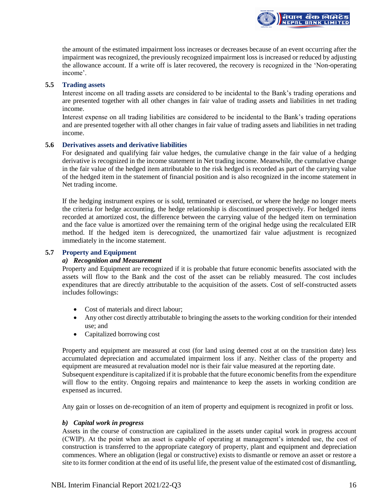the amount of the estimated impairment loss increases or decreases because of an event occurring after the impairment was recognized, the previously recognized impairment loss is increased or reduced by adjusting the allowance account. If a write off is later recovered, the recovery is recognized in the 'Non-operating income'.

<mark>ìपाल बैंक लिमिटेड</mark><br>IEPAL BANK LIMITED

# **5.5 Trading assets**

Interest income on all trading assets are considered to be incidental to the Bank's trading operations and are presented together with all other changes in fair value of trading assets and liabilities in net trading income.

Interest expense on all trading liabilities are considered to be incidental to the Bank's trading operations and are presented together with all other changes in fair value of trading assets and liabilities in net trading income.

#### **5.6 Derivatives assets and derivative liabilities**

For designated and qualifying fair value hedges, the cumulative change in the fair value of a hedging derivative is recognized in the income statement in Net trading income. Meanwhile, the cumulative change in the fair value of the hedged item attributable to the risk hedged is recorded as part of the carrying value of the hedged item in the statement of financial position and is also recognized in the income statement in Net trading income.

If the hedging instrument expires or is sold, terminated or exercised, or where the hedge no longer meets the criteria for hedge accounting, the hedge relationship is discontinued prospectively. For hedged items recorded at amortized cost, the difference between the carrying value of the hedged item on termination and the face value is amortized over the remaining term of the original hedge using the recalculated EIR method. If the hedged item is derecognized, the unamortized fair value adjustment is recognized immediately in the income statement.

# **5.7 Property and Equipment**

#### *a) Recognition and Measurement*

Property and Equipment are recognized if it is probable that future economic benefits associated with the assets will flow to the Bank and the cost of the asset can be reliably measured. The cost includes expenditures that are directly attributable to the acquisition of the assets. Cost of self-constructed assets includes followings:

- Cost of materials and direct labour;
- Any other cost directly attributable to bringing the assets to the working condition for their intended use; and
- Capitalized borrowing cost

Property and equipment are measured at cost (for land using deemed cost at on the transition date) less accumulated depreciation and accumulated impairment loss if any. Neither class of the property and equipment are measured at revaluation model nor is their fair value measured at the reporting date. Subsequent expenditure is capitalized if it is probable that the future economic benefits from the expenditure will flow to the entity. Ongoing repairs and maintenance to keep the assets in working condition are expensed as incurred.

Any gain or losses on de-recognition of an item of property and equipment is recognized in profit or loss.

#### *b) Capital work in progress*

Assets in the course of construction are capitalized in the assets under capital work in progress account (CWIP). At the point when an asset is capable of operating at management's intended use, the cost of construction is transferred to the appropriate category of property, plant and equipment and depreciation commences. Where an obligation (legal or constructive) exists to dismantle or remove an asset or restore a site to its former condition at the end of its useful life, the present value of the estimated cost of dismantling,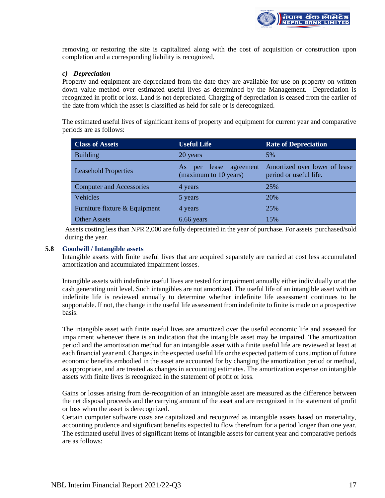

removing or restoring the site is capitalized along with the cost of acquisition or construction upon completion and a corresponding liability is recognized.

# *c) Depreciation*

Property and equipment are depreciated from the date they are available for use on property on written down value method over estimated useful lives as determined by the Management. Depreciation is recognized in profit or loss. Land is not depreciated. Charging of depreciation is ceased from the earlier of the date from which the asset is classified as held for sale or is derecognized.

The estimated useful lives of significant items of property and equipment for current year and comparative periods are as follows:

| <b>Class of Assets</b>          | <b>Useful Life</b>                                       | <b>Rate of Depreciation</b>                             |
|---------------------------------|----------------------------------------------------------|---------------------------------------------------------|
| <b>Building</b>                 | 20 years                                                 | 5%                                                      |
| <b>Leasehold Properties</b>     | agreement<br>lease<br>As<br>per<br>(maximum to 10 years) | Amortized over lower of lease<br>period or useful life. |
| <b>Computer and Accessories</b> | 4 years                                                  | 25%                                                     |
| Vehicles                        | 5 years                                                  | 20%                                                     |
| Furniture fixture & Equipment   | 4 years                                                  | 25%                                                     |
| <b>Other Assets</b>             | 6.66 years                                               | 15%                                                     |

Assets costing less than NPR 2,000 are fully depreciated in the year of purchase. For assets purchased/sold during the year.

#### **5.8 Goodwill / Intangible assets**

Intangible assets with finite useful lives that are acquired separately are carried at cost less accumulated amortization and accumulated impairment losses.

Intangible assets with indefinite useful lives are tested for impairment annually either individually or at the cash generating unit level. Such intangibles are not amortized. The useful life of an intangible asset with an indefinite life is reviewed annually to determine whether indefinite life assessment continues to be supportable. If not, the change in the useful life assessment from indefinite to finite is made on a prospective basis.

The intangible asset with finite useful lives are amortized over the useful economic life and assessed for impairment whenever there is an indication that the intangible asset may be impaired. The amortization period and the amortization method for an intangible asset with a finite useful life are reviewed at least at each financial year end. Changes in the expected useful life or the expected pattern of consumption of future economic benefits embodied in the asset are accounted for by changing the amortization period or method, as appropriate, and are treated as changes in accounting estimates. The amortization expense on intangible assets with finite lives is recognized in the statement of profit or loss.

Gains or losses arising from de-recognition of an intangible asset are measured as the difference between the net disposal proceeds and the carrying amount of the asset and are recognized in the statement of profit or loss when the asset is derecognized.

Certain computer software costs are capitalized and recognized as intangible assets based on materiality, accounting prudence and significant benefits expected to flow therefrom for a period longer than one year. The estimated useful lives of significant items of intangible assets for current year and comparative periods are as follows: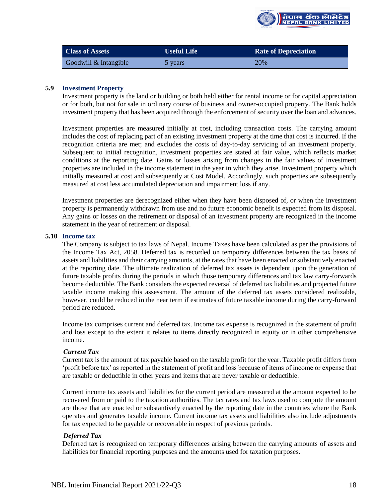

| <b>Class of Assets</b> | <b>Useful Life</b> | <b>Rate of Depreciation</b> |
|------------------------|--------------------|-----------------------------|
| Goodwill & Intangible  | 5 years            | 20%                         |

# **5.9 Investment Property**

Investment property is the land or building or both held either for rental income or for capital appreciation or for both, but not for sale in ordinary course of business and owner-occupied property. The Bank holds investment property that has been acquired through the enforcement of security over the loan and advances.

Investment properties are measured initially at cost, including transaction costs. The carrying amount includes the cost of replacing part of an existing investment property at the time that cost is incurred. If the recognition criteria are met; and excludes the costs of day-to-day servicing of an investment property. Subsequent to initial recognition, investment properties are stated at fair value, which reflects market conditions at the reporting date. Gains or losses arising from changes in the fair values of investment properties are included in the income statement in the year in which they arise. Investment property which initially measured at cost and subsequently at Cost Model. Accordingly, such properties are subsequently measured at cost less accumulated depreciation and impairment loss if any.

Investment properties are derecognized either when they have been disposed of, or when the investment property is permanently withdrawn from use and no future economic benefit is expected from its disposal. Any gains or losses on the retirement or disposal of an investment property are recognized in the income statement in the year of retirement or disposal.

#### **5.10 Income tax**

The Company is subject to tax laws of Nepal. Income Taxes have been calculated as per the provisions of the Income Tax Act, 2058. Deferred tax is recorded on temporary differences between the tax bases of assets and liabilities and their carrying amounts, at the rates that have been enacted or substantively enacted at the reporting date. The ultimate realization of deferred tax assets is dependent upon the generation of future taxable profits during the periods in which those temporary differences and tax law carry-forwards become deductible. The Bank considers the expected reversal of deferred tax liabilities and projected future taxable income making this assessment. The amount of the deferred tax assets considered realizable, however, could be reduced in the near term if estimates of future taxable income during the carry-forward period are reduced.

Income tax comprises current and deferred tax. Income tax expense is recognized in the statement of profit and loss except to the extent it relates to items directly recognized in equity or in other comprehensive income.

#### *Current Tax*

Current tax is the amount of tax payable based on the taxable profit for the year. Taxable profit differs from 'profit before tax' as reported in the statement of profit and loss because of items of income or expense that are taxable or deductible in other years and items that are never taxable or deductible.

Current income tax assets and liabilities for the current period are measured at the amount expected to be recovered from or paid to the taxation authorities. The tax rates and tax laws used to compute the amount are those that are enacted or substantively enacted by the reporting date in the countries where the Bank operates and generates taxable income. Current income tax assets and liabilities also include adjustments for tax expected to be payable or recoverable in respect of previous periods.

#### *Deferred Tax*

Deferred tax is recognized on temporary differences arising between the carrying amounts of assets and liabilities for financial reporting purposes and the amounts used for taxation purposes.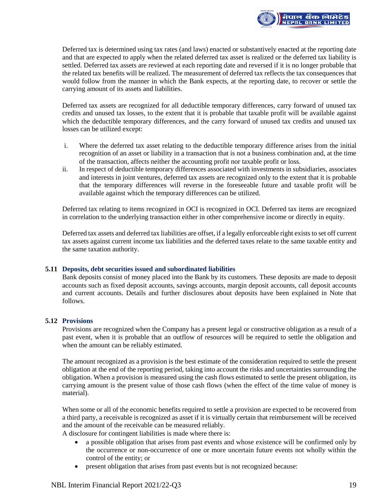

Deferred tax is determined using tax rates (and laws) enacted or substantively enacted at the reporting date and that are expected to apply when the related deferred tax asset is realized or the deferred tax liability is settled. Deferred tax assets are reviewed at each reporting date and reversed if it is no longer probable that the related tax benefits will be realized. The measurement of deferred tax reflects the tax consequences that would follow from the manner in which the Bank expects, at the reporting date, to recover or settle the carrying amount of its assets and liabilities.

Deferred tax assets are recognized for all deductible temporary differences, carry forward of unused tax credits and unused tax losses, to the extent that it is probable that taxable profit will be available against which the deductible temporary differences, and the carry forward of unused tax credits and unused tax losses can be utilized except:

- i. Where the deferred tax asset relating to the deductible temporary difference arises from the initial recognition of an asset or liability in a transaction that is not a business combination and, at the time of the transaction, affects neither the accounting profit nor taxable profit or loss.
- ii. In respect of deductible temporary differences associated with investments in subsidiaries, associates and interests in joint ventures, deferred tax assets are recognized only to the extent that it is probable that the temporary differences will reverse in the foreseeable future and taxable profit will be available against which the temporary differences can be utilized.

Deferred tax relating to items recognized in OCI is recognized in OCI. Deferred tax items are recognized in correlation to the underlying transaction either in other comprehensive income or directly in equity.

Deferred tax assets and deferred tax liabilities are offset, if a legally enforceable right exists to set off current tax assets against current income tax liabilities and the deferred taxes relate to the same taxable entity and the same taxation authority.

# **5.11 Deposits, debt securities issued and subordinated liabilities**

Bank deposits consist of money placed into the Bank by its customers. These deposits are made to deposit accounts such as fixed deposit accounts, savings accounts, margin deposit accounts, call deposit accounts and current accounts. Details and further disclosures about deposits have been explained in Note that follows.

# **5.12 Provisions**

Provisions are recognized when the Company has a present legal or constructive obligation as a result of a past event, when it is probable that an outflow of resources will be required to settle the obligation and when the amount can be reliably estimated.

The amount recognized as a provision is the best estimate of the consideration required to settle the present obligation at the end of the reporting period, taking into account the risks and uncertainties surrounding the obligation. When a provision is measured using the cash flows estimated to settle the present obligation, its carrying amount is the present value of those cash flows (when the effect of the time value of money is material).

When some or all of the economic benefits required to settle a provision are expected to be recovered from a third party, a receivable is recognized as asset if it is virtually certain that reimbursement will be received and the amount of the receivable can be measured reliably.

A disclosure for contingent liabilities is made where there is:

- a possible obligation that arises from past events and whose existence will be confirmed only by the occurrence or non-occurrence of one or more uncertain future events not wholly within the control of the entity; or
- present obligation that arises from past events but is not recognized because: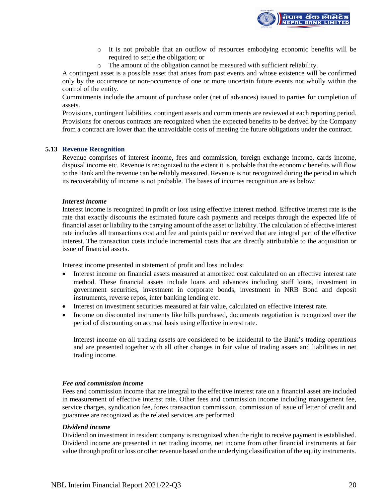

- o It is not probable that an outflow of resources embodying economic benefits will be required to settle the obligation; or
- o The amount of the obligation cannot be measured with sufficient reliability.

A contingent asset is a possible asset that arises from past events and whose existence will be confirmed only by the occurrence or non-occurrence of one or more uncertain future events not wholly within the control of the entity.

Commitments include the amount of purchase order (net of advances) issued to parties for completion of assets.

Provisions, contingent liabilities, contingent assets and commitments are reviewed at each reporting period. Provisions for onerous contracts are recognized when the expected benefits to be derived by the Company from a contract are lower than the unavoidable costs of meeting the future obligations under the contract.

#### **5.13 Revenue Recognition**

Revenue comprises of interest income, fees and commission, foreign exchange income, cards income, disposal income etc. Revenue is recognized to the extent it is probable that the economic benefits will flow to the Bank and the revenue can be reliably measured. Revenue is not recognized during the period in which its recoverability of income is not probable. The bases of incomes recognition are as below:

#### *Interest income*

Interest income is recognized in profit or loss using effective interest method. Effective interest rate is the rate that exactly discounts the estimated future cash payments and receipts through the expected life of financial asset or liability to the carrying amount of the asset or liability. The calculation of effective interest rate includes all transactions cost and fee and points paid or received that are integral part of the effective interest. The transaction costs include incremental costs that are directly attributable to the acquisition or issue of financial assets.

Interest income presented in statement of profit and loss includes:

- Interest income on financial assets measured at amortized cost calculated on an effective interest rate method. These financial assets include loans and advances including staff loans, investment in government securities, investment in corporate bonds, investment in NRB Bond and deposit instruments, reverse repos, inter banking lending etc.
- Interest on investment securities measured at fair value, calculated on effective interest rate.
- Income on discounted instruments like bills purchased, documents negotiation is recognized over the period of discounting on accrual basis using effective interest rate.

Interest income on all trading assets are considered to be incidental to the Bank's trading operations and are presented together with all other changes in fair value of trading assets and liabilities in net trading income.

#### *Fee and commission income*

Fees and commission income that are integral to the effective interest rate on a financial asset are included in measurement of effective interest rate. Other fees and commission income including management fee, service charges, syndication fee, forex transaction commission, commission of issue of letter of credit and guarantee are recognized as the related services are performed.

#### *Dividend income*

Dividend on investment in resident company is recognized when the right to receive payment is established. Dividend income are presented in net trading income, net income from other financial instruments at fair value through profit or loss or other revenue based on the underlying classification of the equity instruments.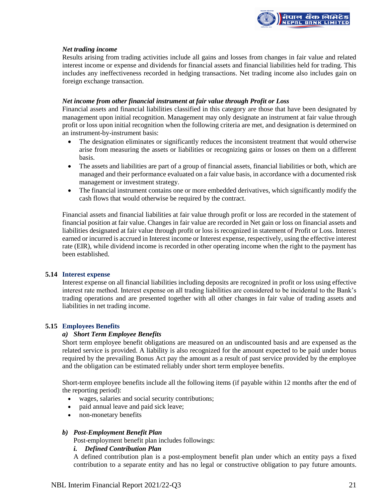

# *Net trading income*

Results arising from trading activities include all gains and losses from changes in fair value and related interest income or expense and dividends for financial assets and financial liabilities held for trading. This includes any ineffectiveness recorded in hedging transactions. Net trading income also includes gain on foreign exchange transaction.

# *Net income from other financial instrument at fair value through Profit or Loss*

Financial assets and financial liabilities classified in this category are those that have been designated by management upon initial recognition. Management may only designate an instrument at fair value through profit or loss upon initial recognition when the following criteria are met, and designation is determined on an instrument-by-instrument basis:

- The designation eliminates or significantly reduces the inconsistent treatment that would otherwise arise from measuring the assets or liabilities or recognizing gains or losses on them on a different basis.
- The assets and liabilities are part of a group of financial assets, financial liabilities or both, which are managed and their performance evaluated on a fair value basis, in accordance with a documented risk management or investment strategy.
- The financial instrument contains one or more embedded derivatives, which significantly modify the cash flows that would otherwise be required by the contract.

Financial assets and financial liabilities at fair value through profit or loss are recorded in the statement of financial position at fair value. Changes in fair value are recorded in Net gain or loss on financial assets and liabilities designated at fair value through profit or loss is recognized in statement of Profit or Loss. Interest earned or incurred is accrued in Interest income or Interest expense, respectively, using the effective interest rate (EIR), while dividend income is recorded in other operating income when the right to the payment has been established.

#### **5.14 Interest expense**

Interest expense on all financial liabilities including deposits are recognized in profit or loss using effective interest rate method. Interest expense on all trading liabilities are considered to be incidental to the Bank's trading operations and are presented together with all other changes in fair value of trading assets and liabilities in net trading income.

# **5.15 Employees Benefits**

# *a) Short Term Employee Benefits*

Short term employee benefit obligations are measured on an undiscounted basis and are expensed as the related service is provided. A liability is also recognized for the amount expected to be paid under bonus required by the prevailing Bonus Act pay the amount as a result of past service provided by the employee and the obligation can be estimated reliably under short term employee benefits.

Short-term employee benefits include all the following items (if payable within 12 months after the end of the reporting period):

- wages, salaries and social security contributions;
- paid annual leave and paid sick leave;
- non-monetary benefits

# *b) Post-Employment Benefit Plan*

Post-employment benefit plan includes followings:

# *i. Defined Contribution Plan*

A defined contribution plan is a post-employment benefit plan under which an entity pays a fixed contribution to a separate entity and has no legal or constructive obligation to pay future amounts.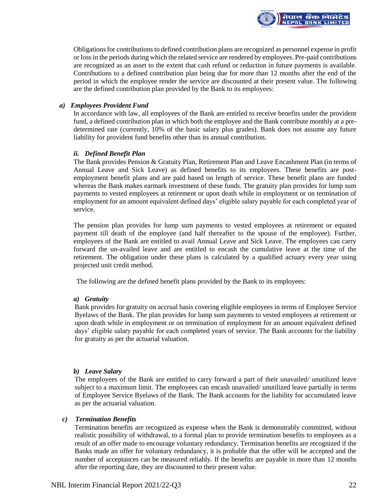

Obligations for contributions to defined contribution plans are recognized as personnel expense in profit or loss in the periods during which the related service are rendered by employees. Pre-paid contributions are recognized as an asset to the extent that cash refund or reduction in future payments is available. Contributions to a defined contribution plan being due for more than 12 months after the end of the period in which the employee render the service are discounted at their present value. The following are the defined contribution plan provided by the Bank to its employees:

#### *a) Employees Provident Fund*

In accordance with law, all employees of the Bank are entitled to receive benefits under the provident fund, a defined contribution plan in which both the employee and the Bank contribute monthly at a predetermined rate (currently, 10% of the basic salary plus grades). Bank does not assume any future liability for provident fund benefits other than its annual contribution.

#### *ii. Defined Benefit Plan*

The Bank provides Pension & Gratuity Plan, Retirement Plan and Leave Encashment Plan (in terms of Annual Leave and Sick Leave) as defined benefits to its employees. These benefits are postemployment benefit plans and are paid based on length of service. These benefit plans are funded whereas the Bank makes earmark investment of these funds. The gratuity plan provides for lump sum payments to vested employees at retirement or upon death while in employment or on termination of employment for an amount equivalent defined days' eligible salary payable for each completed year of service.

The pension plan provides for lump sum payments to vested employees at retirement or equated payment till death of the employee (and half thereafter to the spouse of the employee). Further, employees of the Bank are entitled to avail Annual Leave and Sick Leave. The employees can carry forward the un-availed leave and are entitled to encash the cumulative leave at the time of the retirement. The obligation under these plans is calculated by a qualified actuary every year using projected unit credit method.

The following are the defined benefit plans provided by the Bank to its employees:

#### *a) Gratuity*

Bank provides for gratuity on accrual basis covering eligible employees in terms of Employee Service Byelaws of the Bank. The plan provides for lump sum payments to vested employees at retirement or upon death while in employment or on termination of employment for an amount equivalent defined days' eligible salary payable for each completed years of service. The Bank accounts for the liability for gratuity as per the actuarial valuation.

# *b) Leave Salary*

The employees of the Bank are entitled to carry forward a part of their unavailed/ unutilized leave subject to a maximum limit. The employees can encash unavailed/ unutilized leave partially in terms of Employee Service Byelaws of the Bank. The Bank accounts for the liability for accumulated leave as per the actuarial valuation.

#### *c) Termination Benefits*

Termination benefits are recognized as expense when the Bank is demonstrably committed, without realistic possibility of withdrawal, to a formal plan to provide termination benefits to employees as a result of an offer made to encourage voluntary redundancy. Termination benefits are recognized if the Banks made an offer for voluntary redundancy, it is probable that the offer will be accepted and the number of acceptances can be measured reliably. If the benefits are payable in more than 12 months after the reporting date, they are discounted to their present value.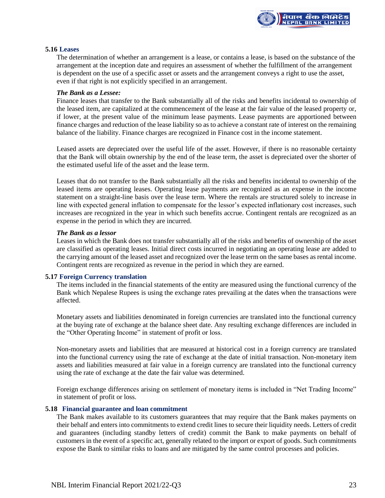

#### **5.16 Leases**

The determination of whether an arrangement is a lease, or contains a lease, is based on the substance of the arrangement at the inception date and requires an assessment of whether the fulfillment of the arrangement is dependent on the use of a specific asset or assets and the arrangement conveys a right to use the asset, even if that right is not explicitly specified in an arrangement.

#### *The Bank as a Lessee:*

Finance leases that transfer to the Bank substantially all of the risks and benefits incidental to ownership of the leased item, are capitalized at the commencement of the lease at the fair value of the leased property or, if lower, at the present value of the minimum lease payments. Lease payments are apportioned between finance charges and reduction of the lease liability so as to achieve a constant rate of interest on the remaining balance of the liability. Finance charges are recognized in Finance cost in the income statement.

Leased assets are depreciated over the useful life of the asset. However, if there is no reasonable certainty that the Bank will obtain ownership by the end of the lease term, the asset is depreciated over the shorter of the estimated useful life of the asset and the lease term.

Leases that do not transfer to the Bank substantially all the risks and benefits incidental to ownership of the leased items are operating leases. Operating lease payments are recognized as an expense in the income statement on a straight-line basis over the lease term. Where the rentals are structured solely to increase in line with expected general inflation to compensate for the lessor's expected inflationary cost increases, such increases are recognized in the year in which such benefits accrue. Contingent rentals are recognized as an expense in the period in which they are incurred.

#### *The Bank as a lessor*

Leases in which the Bank does not transfer substantially all of the risks and benefits of ownership of the asset are classified as operating leases. Initial direct costs incurred in negotiating an operating lease are added to the carrying amount of the leased asset and recognized over the lease term on the same bases as rental income. Contingent rents are recognized as revenue in the period in which they are earned.

#### **5.17 Foreign Currency translation**

The items included in the financial statements of the entity are measured using the functional currency of the Bank which Nepalese Rupees is using the exchange rates prevailing at the dates when the transactions were affected.

Monetary assets and liabilities denominated in foreign currencies are translated into the functional currency at the buying rate of exchange at the balance sheet date. Any resulting exchange differences are included in the "Other Operating Income" in statement of profit or loss.

Non-monetary assets and liabilities that are measured at historical cost in a foreign currency are translated into the functional currency using the rate of exchange at the date of initial transaction. Non-monetary item assets and liabilities measured at fair value in a foreign currency are translated into the functional currency using the rate of exchange at the date the fair value was determined.

Foreign exchange differences arising on settlement of monetary items is included in "Net Trading Income" in statement of profit or loss.

#### **5.18 Financial guarantee and loan commitment**

The Bank makes available to its customers guarantees that may require that the Bank makes payments on their behalf and enters into commitments to extend credit lines to secure their liquidity needs. Letters of credit and guarantees (including standby letters of credit) commit the Bank to make payments on behalf of customers in the event of a specific act, generally related to the import or export of goods. Such commitments expose the Bank to similar risks to loans and are mitigated by the same control processes and policies.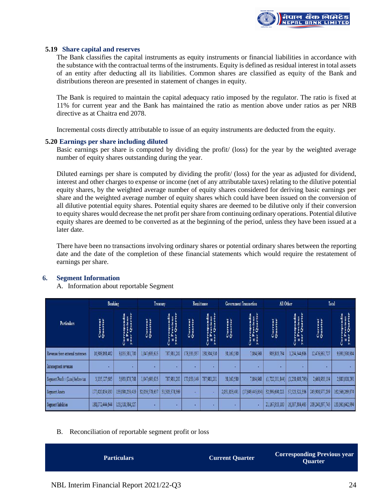

#### **5.19 Share capital and reserves**

The Bank classifies the capital instruments as equity instruments or financial liabilities in accordance with the substance with the contractual terms of the instruments. Equity is defined as residual interest in total assets of an entity after deducting all its liabilities. Common shares are classified as equity of the Bank and distributions thereon are presented in statement of changes in equity.

The Bank is required to maintain the capital adequacy ratio imposed by the regulator. The ratio is fixed at 11% for current year and the Bank has maintained the ratio as mention above under ratios as per NRB directive as at Chaitra end 2078.

Incremental costs directly attributable to issue of an equity instruments are deducted from the equity.

#### **5.20 Earnings per share including diluted**

Basic earnings per share is computed by dividing the profit/ (loss) for the year by the weighted average number of equity shares outstanding during the year.

Diluted earnings per share is computed by dividing the profit/ (loss) for the year as adjusted for dividend, interest and other charges to expense or income (net of any attributable taxes) relating to the dilutive potential equity shares, by the weighted average number of equity shares considered for deriving basic earnings per share and the weighted average number of equity shares which could have been issued on the conversion of all dilutive potential equity shares. Potential equity shares are deemed to be dilutive only if their conversion to equity shares would decrease the net profit per share from continuing ordinary operations. Potential dilutive equity shares are deemed to be converted as at the beginning of the period, unless they have been issued at a later date.

There have been no transactions involving ordinary shares or potential ordinary shares between the reporting date and the date of the completion of these financial statements which would require the restatement of earnings per share.

#### **6. Segment Information**

#### A. Information about reportable Segment

|                                    | <b>Banking</b>     |                         | Treasury           |                                                            | Remittance         |                                        | <b>Government Transaction</b> |                                 | All Other        |                    | Total              |                                                    |
|------------------------------------|--------------------|-------------------------|--------------------|------------------------------------------------------------|--------------------|----------------------------------------|-------------------------------|---------------------------------|------------------|--------------------|--------------------|----------------------------------------------------|
| Particulars                        | Current<br>Quarter | revious<br>Quarte<br>一覧 | Current<br>Quarter | espondin<br>revious<br>Quarter<br>ĚĀ<br>g B<br>3.ear<br>ပိ | Current<br>Quarter | pondin<br>vious<br>juarter<br>a a<br>S | Current<br>Quarter            | pondin<br>vious<br>Quarte<br>'n | rent<br>e<br>Qua | Ü<br>'n            | Current<br>Quarter | Quarte<br>pondia<br>vious<br>Corre<br>E Pi<br>year |
| Revenues from external customers   | 10,308,868,402     | 8,055,581,700           | 1,047,693,615      | 787,981,201                                                | 178,335,337        | 138,504,310                            | 38,160,580                    | 7,864,968                       | 903,803,794      | 1,294,544,686      | 12,476,861,727     | 9,990,390,804                                      |
| Intersegment revenues              |                    |                         | ٠                  | ٠                                                          |                    | ٠                                      |                               |                                 | ٠                |                    |                    |                                                    |
| Segment Profit / (Loss) before tax | 3,135,127,605      | 3,933,878,768           | 1,047,693,615      | 787,981,201                                                | 170,053,149        | 787.981.201                            | 38,160,580                    | 7,864,968                       | (1,722,101,844)  | (1, 238, 608, 795) | 2,668,933,104      | 2,880,018,291                                      |
| Segment Assets                     | 177,420,854,930    | 133,090,259,419         | 32,056,578,657     | 31,303,578,369                                             |                    | ٠                                      | 2,031,853,49                  | (17, 849, 445, 854)             | 32,399,690,221   | 57,523,521,336     | 243,908,977,299    | 162,566,269,874                                    |
| Segment liabilities                | 188,072,444,644    | 153,518,584,527         | ٠                  | ٠                                                          | ٠                  | ٠                                      |                               |                                 | 21,167,953,100   | 16,387,304,465     | 209,240,397,745    | 133,365,642,994                                    |

#### B. Reconciliation of reportable segment profit or loss

| <b>Particulars</b> | <b>Current Quarter</b> | <b>Corresponding Previous year</b><br><b>Quarter</b> |
|--------------------|------------------------|------------------------------------------------------|
|                    |                        |                                                      |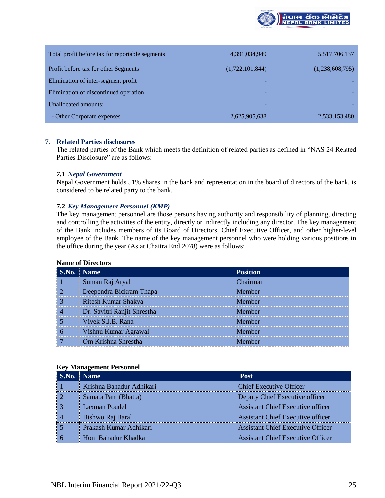

| Total profit before tax for reportable segments | 4,391,034,949   | 5,517,706,137   |
|-------------------------------------------------|-----------------|-----------------|
| Profit before tax for other Segments            | (1,722,101,844) | (1,238,608,795) |
| Elimination of inter-segment profit             |                 |                 |
| Elimination of discontinued operation           |                 |                 |
| Unallocated amounts:                            |                 |                 |
| - Other Corporate expenses                      | 2,625,905,638   | 2,533,153,480   |

# **7. Related Parties disclosures**

The related parties of the Bank which meets the definition of related parties as defined in "NAS 24 Related Parties Disclosure" are as follows:

#### *7.1 Nepal Government*

Nepal Government holds 51% shares in the bank and representation in the board of directors of the bank, is considered to be related party to the bank.

#### **7.2** *Key Management Personnel (KMP)*

The key management personnel are those persons having authority and responsibility of planning, directing and controlling the activities of the entity, directly or indirectly including any director. The key management of the Bank includes members of its Board of Directors, Chief Executive Officer, and other higher-level employee of the Bank. The name of the key management personnel who were holding various positions in the office during the year (As at Chaitra End 2078) were as follows:

#### **Name of Directors**

| S.No. | <b>Name</b>                 | <b>Position</b> |
|-------|-----------------------------|-----------------|
|       | Suman Raj Aryal             | Chairman        |
| 2     | Deependra Bickram Thapa     | Member          |
| 3     | Ritesh Kumar Shakya         | Member          |
| 4     | Dr. Savitri Ranjit Shrestha | Member          |
|       | Vivek S.J.B. Rana           | Member          |
| 6     | Vishnu Kumar Agrawal        | Member          |
|       | Om Krishna Shrestha         | Member          |

#### **Key Management Personnel**

| S.No. | Name                     | <b>Post</b>                              |
|-------|--------------------------|------------------------------------------|
|       | Krishna Bahadur Adhikari | <b>Chief Executive Officer</b>           |
|       | Samata Pant (Bhatta)     | Deputy Chief Executive officer           |
|       | Laxman Poudel            | <b>Assistant Chief Executive officer</b> |
|       | Bishwo Raj Baral         | <b>Assistant Chief Executive officer</b> |
|       | Prakash Kumar Adhikari   | <b>Assistant Chief Executive Officer</b> |
|       | Hom Bahadur Khadka       | <b>Assistant Chief Executive Officer</b> |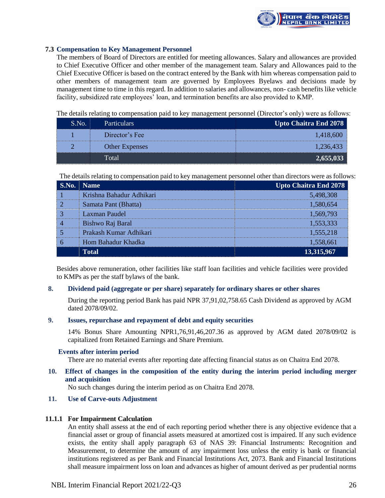

# **7.3 Compensation to Key Management Personnel**

The members of Board of Directors are entitled for meeting allowances. Salary and allowances are provided to Chief Executive Officer and other member of the management team. Salary and Allowances paid to the Chief Executive Officer is based on the contract entered by the Bank with him whereas compensation paid to other members of management team are governed by Employees Byelaws and decisions made by management time to time in this regard. In addition to salaries and allowances, non- cash benefits like vehicle facility, subsidized rate employees' loan, and termination benefits are also provided to KMP.

The details relating to compensation paid to key management personnel (Director's only) were as follows:

| S.No. | Particulars           | Upto Chaitra End 2078 |
|-------|-----------------------|-----------------------|
|       | Director's Fee        | 4.418                 |
|       | <b>Other Expenses</b> | 1.236.4               |
|       | Total                 | 2,655,0               |

The details relating to compensation paid to key management personnel other than directors were as follows:

|                | <b>S.No.</b> Name        | <b>Upto Chaitra End 2078</b> |
|----------------|--------------------------|------------------------------|
|                | Krishna Bahadur Adhikari | 5,498,308                    |
|                | Samata Pant (Bhatta)     | 1,580,654                    |
| $\mathsf{I}$ 3 | Laxman Paudel            | 1,569,793                    |
| $\overline{4}$ | Bishwo Raj Baral         | 1,553,333                    |
|                | Prakash Kumar Adhikari   | 1,555,218                    |
|                | Hom Bahadur Khadka       | 1,558,661                    |
|                | <b>Total</b>             | 13,315,967                   |

Besides above remuneration, other facilities like staff loan facilities and vehicle facilities were provided to KMPs as per the staff bylaws of the bank.

# **8. Dividend paid (aggregate or per share) separately for ordinary shares or other shares**

During the reporting period Bank has paid NPR 37,91,02,758.65 Cash Dividend as approved by AGM dated 2078/09/02.

#### **9. Issues, repurchase and repayment of debt and equity securities**

14% Bonus Share Amounting NPR1,76,91,46,207.36 as approved by AGM dated 2078/09/02 is capitalized from Retained Earnings and Share Premium.

# **Events after interim period**

There are no material events after reporting date affecting financial status as on Chaitra End 2078.

**10. Effect of changes in the composition of the entity during the interim period including merger and acquisition**

No such changes during the interim period as on Chaitra End 2078.

# **11. Use of Carve-outs Adjustment**

# **11.1.1 For Impairment Calculation**

An entity shall assess at the end of each reporting period whether there is any objective evidence that a financial asset or group of financial assets measured at amortized cost is impaired. If any such evidence exists, the entity shall apply paragraph 63 of NAS 39: Financial Instruments: Recognition and Measurement, to determine the amount of any impairment loss unless the entity is bank or financial institutions registered as per Bank and Financial Institutions Act, 2073. Bank and Financial Institutions shall measure impairment loss on loan and advances as higher of amount derived as per prudential norms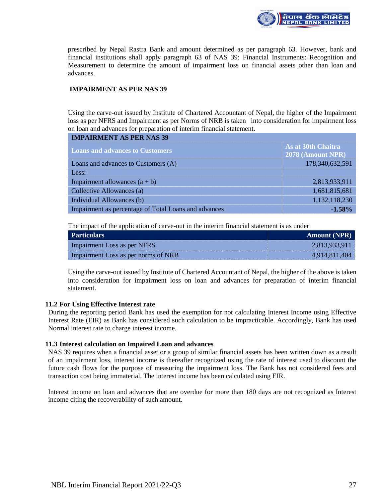

prescribed by Nepal Rastra Bank and amount determined as per paragraph 63. However, bank and financial institutions shall apply paragraph 63 of NAS 39: Financial Instruments: Recognition and Measurement to determine the amount of impairment loss on financial assets other than loan and advances.

# **IMPAIRMENT AS PER NAS 39**

Using the carve-out issued by Institute of Chartered Accountant of Nepal, the higher of the Impairment loss as per NFRS and Impairment as per Norms of NRB is taken into consideration for impairment loss on loan and advances for preparation of interim financial statement.

| <b>IMPAIRMENT AS PER NAS 39</b>                      |                                         |
|------------------------------------------------------|-----------------------------------------|
| <b>Loans and advances to Customers</b>               | As at 30th Chaitra<br>2078 (Amount NPR) |
| Loans and advances to Customers (A)                  | 178,340,632,591                         |
| Less:                                                |                                         |
| Impairment allowances $(a + b)$                      | 2,813,933,911                           |
| Collective Allowances (a)                            | 1,681,815,681                           |
| Individual Allowances (b)                            | 1,132,118,230                           |
| Impairment as percentage of Total Loans and advances | $-1.58%$                                |

The impact of the application of carve-out in the interim financial statement is as under

| Particulars                         | <b>Amount (NPR)</b> |
|-------------------------------------|---------------------|
| Impairment Loss as per NFRS         | 2,813,933,911       |
| Impairment Loss as per norms of NRB | 4,914,811,404       |

Using the carve-out issued by Institute of Chartered Accountant of Nepal, the higher of the above is taken into consideration for impairment loss on loan and advances for preparation of interim financial statement.

# **11.2 For Using Effective Interest rate**

During the reporting period Bank has used the exemption for not calculating Interest Income using Effective Interest Rate (EIR) as Bank has considered such calculation to be impracticable. Accordingly, Bank has used Normal interest rate to charge interest income.

# **11.3 Interest calculation on Impaired Loan and advances**

NAS 39 requires when a financial asset or a group of similar financial assets has been written down as a result of an impairment loss, interest income is thereafter recognized using the rate of interest used to discount the future cash flows for the purpose of measuring the impairment loss. The Bank has not considered fees and transaction cost being immaterial. The interest income has been calculated using EIR.

Interest income on loan and advances that are overdue for more than 180 days are not recognized as Interest income citing the recoverability of such amount.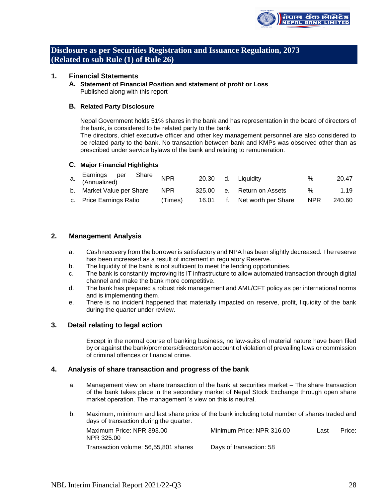

# **Disclosure as per Securities Registration and Issuance Regulation, 2073 (Related to sub Rule (1) of Rule 26)**

# **1. Financial Statements**

**A. Statement of Financial Position and statement of profit or Loss** Published along with this report

#### **B. Related Party Disclosure**

Nepal Government holds 51% shares in the bank and has representation in the board of directors of the bank, is considered to be related party to the bank.

The directors, chief executive officer and other key management personnel are also considered to be related party to the bank. No transaction between bank and KMPs was observed other than as prescribed under service bylaws of the bank and relating to remuneration.

#### **C. Major Financial Highlights**

| a. Earnings per<br>a. (Annualized)<br>Share | <b>NPR</b> |  | 20.30 d. Liquidity           | %                | 20.47  |
|---------------------------------------------|------------|--|------------------------------|------------------|--------|
| b. Market Value per Share                   | <b>NPR</b> |  | 325.00 e. Return on Assets   | %                | 1.19   |
| c. Price Earnings Ratio                     | (Times)    |  | 16.01 f. Net worth per Share | NPR <sup>1</sup> | 240.60 |

#### **2. Management Analysis**

- a. Cash recovery from the borrower is satisfactory and NPA has been slightly decreased. The reserve has been increased as a result of increment in regulatory Reserve.
- b. The liquidity of the bank is not sufficient to meet the lending opportunities.
- c. The bank is constantly improving its IT infrastructure to allow automated transaction through digital channel and make the bank more competitive.
- d. The bank has prepared a robust risk management and AML/CFT policy as per international norms and is implementing them.
- e. There is no incident happened that materially impacted on reserve, profit, liquidity of the bank during the quarter under review.

# **3. Detail relating to legal action**

Except in the normal course of banking business, no law-suits of material nature have been filed by or against the bank/promoters/directors/on account of violation of prevailing laws or commission of criminal offences or financial crime.

#### **4. Analysis of share transaction and progress of the bank**

- a. Management view on share transaction of the bank at securities market The share transaction of the bank takes place in the secondary market of Nepal Stock Exchange through open share market operation. The management 's view on this is neutral.
- b. Maximum, minimum and last share price of the bank including total number of shares traded and days of transaction during the quarter.

| Maximum Price: NPR 393.00<br>NPR 325.00 | Minimum Price: NPR 316.00 | Last | Price: |
|-----------------------------------------|---------------------------|------|--------|
| Transaction volume: 56,55,801 shares    | Days of transaction: 58   |      |        |